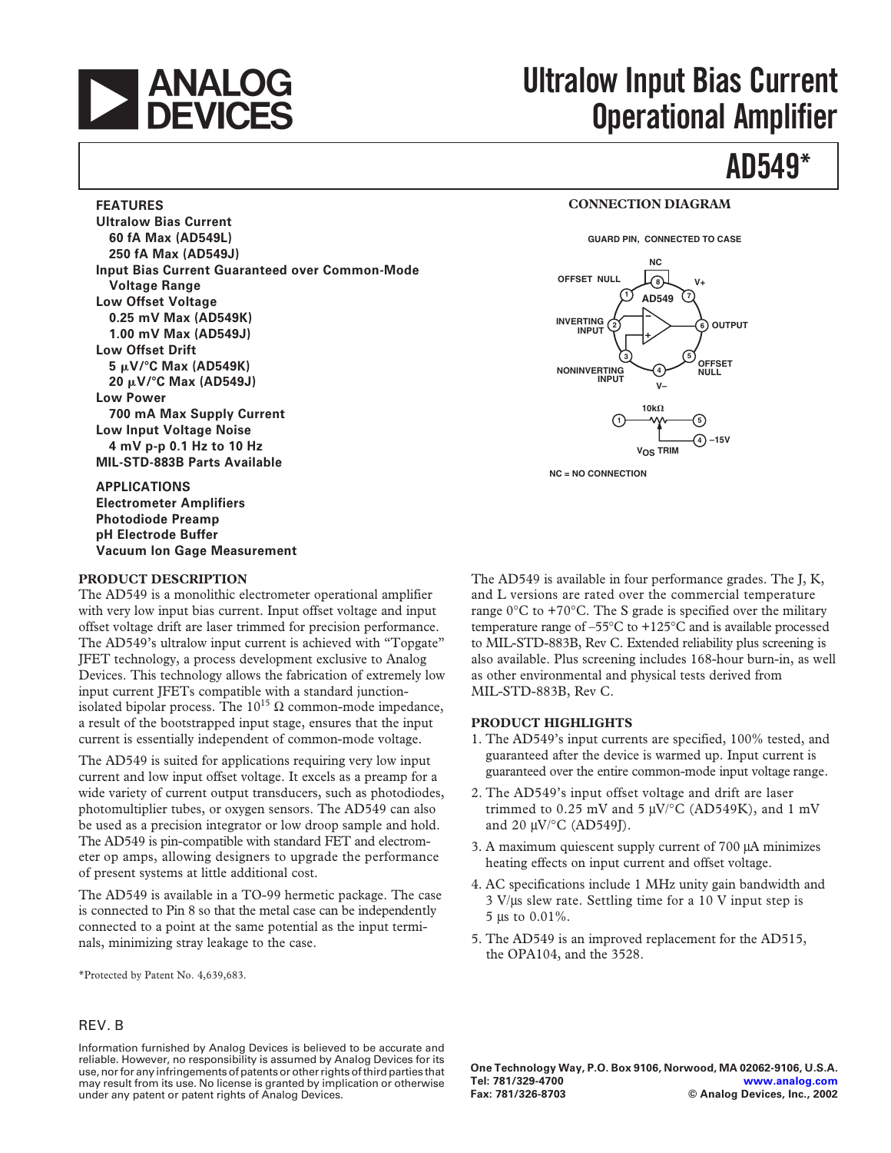

**FEATURES**

**Ultralow Bias Current 60 fA Max (AD549L) 250 fA Max (AD549J)**

**Voltage Range Low Offset Voltage 0.25 mV Max (AD549K) 1.00 mV Max (AD549J)**

**Low Offset Drift**

**Low Power**

**5** -**V/C Max (AD549K) 20** -**V/C Max (AD549J)**

# **ANALOG** Ultralow Input Bias Current<br>DEVICES Onerational Amnlifier **Operational Amplifier**

## **AD549\***

#### **CONNECTION DIAGRAM**

**GUARD PIN, CONNECTED TO CASE**



**NC = NO CONNECTION**

**APPLICATIONS Electrometer Amplifiers Photodiode Preamp pH Electrode Buffer Vacuum lon Gage Measurement**

**700 mA Max Supply Current Low Input Voltage Noise 4 mV p-p 0.1 Hz to 10 Hz MIL-STD-883B Parts Available**

#### **PRODUCT DESCRIPTION**

The AD549 is a monolithic electrometer operational amplifier with very low input bias current. Input offset voltage and input offset voltage drift are laser trimmed for precision performance. The AD549's ultralow input current is achieved with "Topgate" JFET technology, a process development exclusive to Analog Devices. This technology allows the fabrication of extremely low input current JFETs compatible with a standard junctionisolated bipolar process. The  $10^{15}$  Ω common-mode impedance, a result of the bootstrapped input stage, ensures that the input current is essentially independent of common-mode voltage.

**Input Bias Current Guaranteed over Common-Mode**

The AD549 is suited for applications requiring very low input current and low input offset voltage. It excels as a preamp for a wide variety of current output transducers, such as photodiodes, photomultiplier tubes, or oxygen sensors. The AD549 can also be used as a precision integrator or low droop sample and hold. The AD549 is pin-compatible with standard FET and electrometer op amps, allowing designers to upgrade the performance of present systems at little additional cost.

The AD549 is available in a TO-99 hermetic package. The case is connected to Pin 8 so that the metal case can be independently connected to a point at the same potential as the input terminals, minimizing stray leakage to the case.

\*Protected by Patent No. 4,639,683.

#### REV. B

Information furnished by Analog Devices is believed to be accurate and reliable. However, no responsibility is assumed by Analog Devices for its use, nor for any infringements of patents or other rights of third parties that may result from its use. No license is granted by implication or otherwise under any patent or patent rights of Analog Devices.

The AD549 is available in four performance grades. The J, K, and L versions are rated over the commercial temperature range  $0^{\circ}$ C to +70 $^{\circ}$ C. The S grade is specified over the military temperature range of  $-55^{\circ}$ C to  $+125^{\circ}$ C and is available processed to MIL-STD-883B, Rev C. Extended reliability plus screening is also available. Plus screening includes 168-hour burn-in, as well as other environmental and physical tests derived from MIL-STD-883B, Rev C.

#### **PRODUCT HIGHLIGHTS**

- 1. The AD549's input currents are specified, 100% tested, and guaranteed after the device is warmed up. Input current is guaranteed over the entire common-mode input voltage range.
- 2. The AD549's input offset voltage and drift are laser trimmed to 0.25 mV and 5  $\mu$ V/°C (AD549K), and 1 mV and 20 µV/°C (AD549J).
- 3. A maximum quiescent supply current of 700 µA minimizes heating effects on input current and offset voltage.
- 4. AC specifications include 1 MHz unity gain bandwidth and 3 V/µs slew rate. Settling time for a 10 V input step is 5 µs to 0.01%.
- 5. The AD549 is an improved replacement for the AD515, the OPA104, and the 3528.

**One Technology Way, P.O. Box 9106, Norwood, MA 02062-9106, U.S.A. Tel: 781/329-4700 [www.analog.com](http://www.analog.com)**  $©$  Analog Devices, Inc., 2002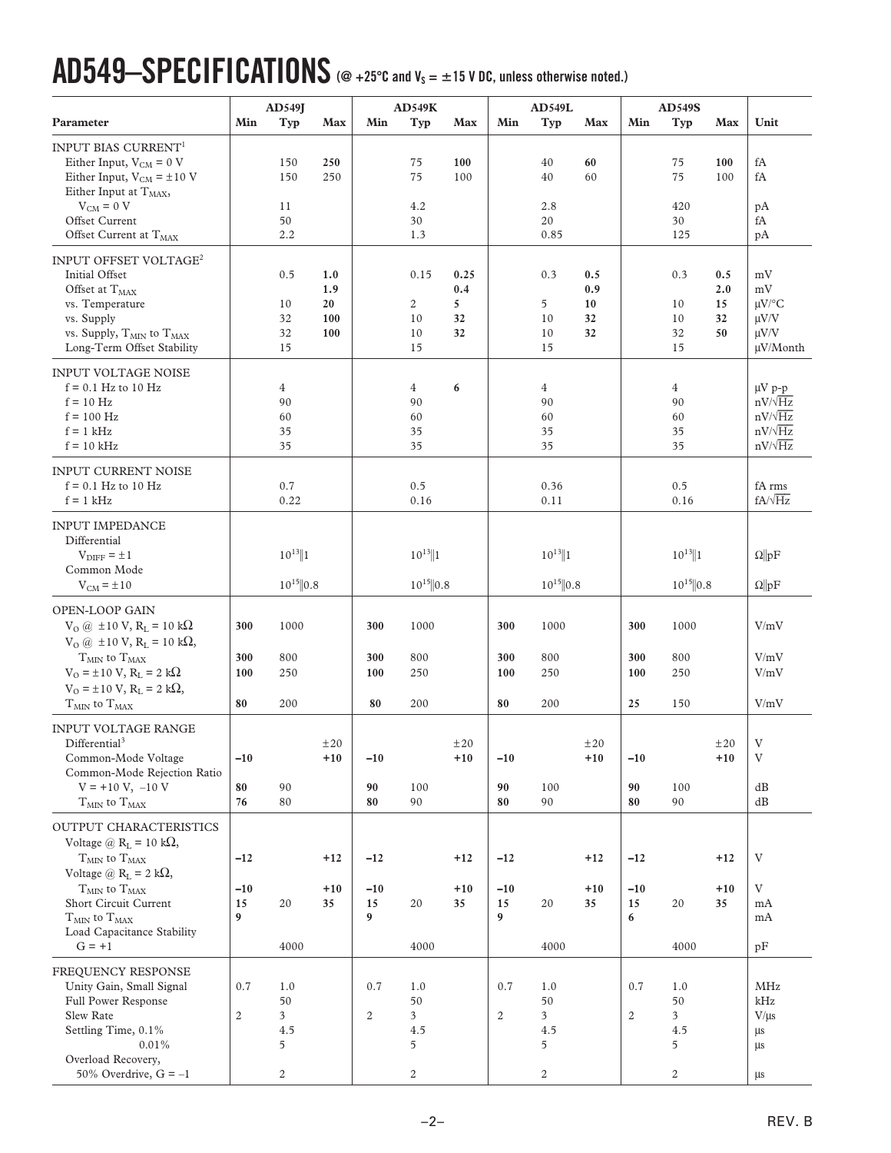# **AD549–SPECIFICATIONS (@ +25C and VS = 15 V DC, unless otherwise noted.)**

|                                                                                                                                                                                               |                         | AD549J                                  |                                |                  | AD549K                                 |                              |                         | <b>AD549L</b>                          |                              |                         | <b>AD549S</b>               |                              |                                                                                     |
|-----------------------------------------------------------------------------------------------------------------------------------------------------------------------------------------------|-------------------------|-----------------------------------------|--------------------------------|------------------|----------------------------------------|------------------------------|-------------------------|----------------------------------------|------------------------------|-------------------------|-----------------------------|------------------------------|-------------------------------------------------------------------------------------|
| Parameter                                                                                                                                                                                     | Min                     | Typ                                     | Max                            | Min              | Typ                                    | Max                          | Min                     | Typ                                    | Max                          | Min                     | Typ                         | Max                          | Unit                                                                                |
| INPUT BIAS CURRENT <sup>1</sup><br>Either Input, $V_{CM} = 0$ V<br>Either Input, $V_{CM} = \pm 10$ V<br>Either Input at $T_{MAX}$ ,                                                           |                         | 150<br>150                              | 250<br>250                     |                  | 75<br>75                               | 100<br>100                   |                         | 40<br>40                               | 60<br>60                     |                         | 75<br>75                    | 100<br>100                   | fA<br>fA                                                                            |
| $V_{CM} = 0 V$<br>Offset Current<br>Offset Current at T <sub>MAX</sub>                                                                                                                        |                         | 11<br>50<br>2.2                         |                                |                  | 4.2<br>30<br>1.3                       |                              |                         | 2.8<br>20<br>0.85                      |                              |                         | 420<br>30<br>125            |                              | рA<br>fA<br>pA                                                                      |
| INPUT OFFSET VOLTAGE <sup>2</sup><br>Initial Offset<br>Offset at $T_{MAX}$<br>vs. Temperature<br>vs. Supply<br>vs. Supply, T <sub>MIN</sub> to T <sub>MAX</sub><br>Long-Term Offset Stability |                         | 0.5<br>10<br>32<br>32<br>15             | 1.0<br>1.9<br>20<br>100<br>100 |                  | 0.15<br>$\mathbf{2}$<br>10<br>10<br>15 | 0.25<br>0.4<br>5<br>32<br>32 |                         | 0.3<br>5<br>10<br>10<br>15             | 0.5<br>0.9<br>10<br>32<br>32 |                         | 0.3<br>10<br>10<br>32<br>15 | 0.5<br>2.0<br>15<br>32<br>50 | mV<br>mV<br>$\mu$ V/°C<br>$\mu$ V/V<br>$\mu V/V$<br>µV/Month                        |
| <b>INPUT VOLTAGE NOISE</b><br>$f = 0.1$ Hz to 10 Hz<br>$f = 10$ Hz<br>$f = 100$ Hz<br>$f = 1$ kHz<br>$f = 10$ kHz                                                                             |                         | $\overline{4}$<br>90<br>60<br>35<br>35  |                                |                  | 4<br>90<br>60<br>35<br>35              | 6                            |                         | $\overline{4}$<br>90<br>60<br>35<br>35 |                              |                         | 4<br>90<br>60<br>35<br>35   |                              | $\mu V$ p-p<br>$nV/\sqrt{Hz}$<br>$nV/\sqrt{Hz}$<br>$nV/\sqrt{Hz}$<br>$nV/\sqrt{Hz}$ |
| <b>INPUT CURRENT NOISE</b><br>$f = 0.1$ Hz to 10 Hz<br>$f = 1$ kHz                                                                                                                            |                         | 0.7<br>0.22                             |                                |                  | 0.5<br>0.16                            |                              |                         | 0.36<br>0.11                           |                              |                         | 0.5<br>0.16                 |                              | fA rms<br>$fA/\sqrt{Hz}$                                                            |
| <b>INPUT IMPEDANCE</b><br>Differential<br>$V_{\text{DIFF}} = \pm 1$<br>Common Mode                                                                                                            |                         | $10^{13}$   1                           |                                |                  | $10^{13}$   1                          |                              |                         | $10^{13}$   1                          |                              |                         | $10^{13}$   1               |                              | $\Omega$   pF                                                                       |
| $V_{CM} = \pm 10$                                                                                                                                                                             |                         | $10^{15}$  0.8                          |                                |                  | $10^{15}$  0.8                         |                              |                         | $10^{15}$  0.8                         |                              |                         | $10^{15}$  0.8              |                              | $\Omega$   pF                                                                       |
| OPEN-LOOP GAIN<br>$V_{O}$ ( <i>a</i> ) ±10 V, R <sub>L</sub> = 10 k $\Omega$<br>$V_{O}$ (a) $\pm 10$ V, R <sub>L</sub> = 10 k $\Omega$ ,<br>$T_{MIN}$ to $T_{MAX}$                            | 300<br>300              | 1000<br>800                             |                                | 300<br>300       | 1000<br>800                            |                              | 300<br>300              | 1000<br>800                            |                              | 300<br>300              | 1000<br>800                 |                              | V/mV<br>V/mV                                                                        |
| $V_O = \pm 10 \text{ V}, R_L = 2 \text{ k}\Omega$<br>$V_O = \pm 10 \text{ V}, R_L = 2 \text{ k}\Omega,$<br>$T_{MIN}$ to $T_{MAX}$                                                             | 100<br>80               | 250<br>200                              |                                | 100<br>80        | 250<br>200                             |                              | 100<br>80               | 250<br>200                             |                              | 100<br>25               | 250<br>150                  |                              | V/mV<br>V/mV                                                                        |
| <b>INPUT VOLTAGE RANGE</b><br>Differential <sup>3</sup><br>Common-Mode Voltage<br>Common-Mode Rejection Ratio                                                                                 | $-10$                   |                                         | ±20<br>$+10$                   | $-10$            |                                        | ±20<br>$+10$                 | $-10$                   |                                        | $\pm\,20$<br>$+10$           | $-10$                   |                             | $\pm\,20$<br>$+10$           | V<br>V                                                                              |
| $V = +10 V, -10 V$<br>$T_{MIN}$ to $T_{MAX}$                                                                                                                                                  | 80<br>76                | 90<br>80                                |                                | 90<br>80         | 100<br>90                              |                              | 90<br>80                | 100<br>90                              |                              | 90<br>80                | 100<br>90                   |                              | dB<br>$\mathrm{dB}$                                                                 |
| OUTPUT CHARACTERISTICS<br>Voltage @ $R_L = 10 k\Omega$ ,<br>$TMIN$ to $TMAX$                                                                                                                  | $-12$                   |                                         | $+12$                          | $-12$            |                                        | $+12$                        | $-12$                   |                                        | $+12$                        | $-12$                   |                             | $+12$                        | V                                                                                   |
| Voltage @ $R_L = 2 k\Omega$ ,<br>$T_{MIN}$ to $T_{MAX}$<br>Short Circuit Current<br>$T_{MIN}$ to $T_{MAX}$<br>Load Capacitance Stability                                                      | $-10$<br>15<br>9        | 20                                      | $+10$<br>35                    | $-10$<br>15<br>9 | 20                                     | $+10$<br>35                  | $-10$<br>15<br>9        | 20                                     | $+10$<br>35                  | $-10$<br>15<br>6        | 20                          | $+10$<br>35                  | V<br>mA<br>mA                                                                       |
| $G = +1$                                                                                                                                                                                      |                         | 4000                                    |                                |                  | 4000                                   |                              |                         | 4000                                   |                              |                         | 4000                        |                              | pF                                                                                  |
| FREQUENCY RESPONSE<br>Unity Gain, Small Signal<br><b>Full Power Response</b><br>Slew Rate<br>Settling Time, 0.1%<br>0.01%<br>Overload Recovery,                                               | 0.7<br>$\boldsymbol{2}$ | 1.0<br>50<br>$\mathfrak{Z}$<br>4.5<br>5 |                                | 0.7<br>2         | 1.0<br>50<br>3<br>4.5<br>5             |                              | 0.7<br>$\boldsymbol{2}$ | 1.0<br>50<br>3<br>4.5<br>5             |                              | 0.7<br>$\boldsymbol{2}$ | 1.0<br>50<br>3<br>4.5<br>5  |                              | MHz<br>kHz<br>$V/\mu s$<br>μs<br>μs                                                 |
| 50% Overdrive, $G = -1$                                                                                                                                                                       |                         | $\overline{c}$                          |                                |                  | $\boldsymbol{2}$                       |                              |                         | $\boldsymbol{2}$                       |                              |                         | $\boldsymbol{2}$            |                              | μs                                                                                  |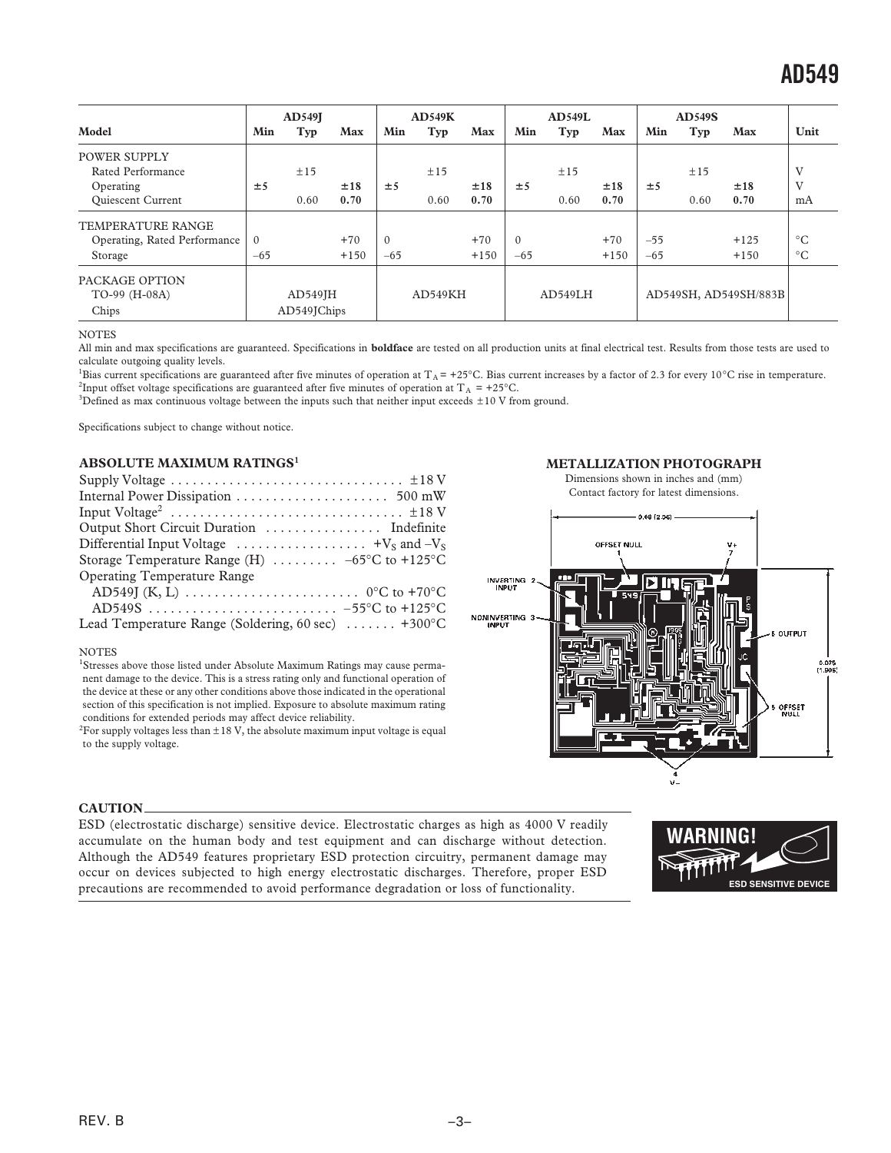|                              |          | <b>AD549I</b> |        |          | AD549K  |        |          | <b>AD549L</b> |        |       | <b>AD549S</b> |                       |                 |
|------------------------------|----------|---------------|--------|----------|---------|--------|----------|---------------|--------|-------|---------------|-----------------------|-----------------|
| Model                        | Min      | Typ           | Max    | Min      | Typ     | Max    | Min      | Typ           | Max    | Min   | Typ           | Max                   | Unit            |
| <b>POWER SUPPLY</b>          |          |               |        |          |         |        |          |               |        |       |               |                       |                 |
| Rated Performance            |          | ±15           |        |          | ±15     |        |          | ±15           |        |       | ±15           |                       | V               |
| Operating                    | ±5       |               | ±18    | ±5       |         | ±18    | ±5       |               | ±18    | ±5    |               | ±18                   | V               |
| Quiescent Current            |          | 0.60          | 0.70   |          | 0.60    | 0.70   |          | 0.60          | 0.70   |       | 0.60          | 0.70                  | mA              |
| <b>TEMPERATURE RANGE</b>     |          |               |        |          |         |        |          |               |        |       |               |                       |                 |
| Operating, Rated Performance | $\Omega$ |               | $+70$  | $\theta$ |         | $+70$  | $\Omega$ |               | $+70$  | $-55$ |               | $+125$                | $^{\circ}C$     |
| Storage                      | $-65$    |               | $+150$ | $-65$    |         | $+150$ | $-65$    |               | $+150$ | $-65$ |               | $+150$                | $\rm ^{\circ}C$ |
| PACKAGE OPTION               |          |               |        |          |         |        |          |               |        |       |               |                       |                 |
| TO-99 (H-08A)                |          | $AD549$ $IH$  |        |          | AD549KH |        |          | AD549LH       |        |       |               | AD549SH, AD549SH/883B |                 |
| Chips                        |          | AD549JChips   |        |          |         |        |          |               |        |       |               |                       |                 |

#### **NOTES**

All min and max specifications are guaranteed. Specifications in **boldface** are tested on all production units at final electrical test. Results from those tests are used to calculate outgoing quality levels.

Bias current specifications are guaranteed after five minutes of operation at  $T_A = +25^{\circ}C$ . Bias current increases by a factor of 2.3 for every 10<sup>°</sup>C rise in temperature. <sup>2</sup>Input offset voltage specifications are guaranteed after five minutes of operation at T<sub>A</sub> = +25°C.

<sup>3</sup>Defined as max continuous voltage between the inputs such that neither input exceeds  $\pm 10$  V from ground.

Specifications subject to change without notice.

#### **ABSOLUTE MAXIMUM RATINGS<sup>1</sup>**

| Supply Voltage $\dots \dots \dots \dots \dots \dots \dots \dots \dots \dots \dots \pm 18$ V                |
|------------------------------------------------------------------------------------------------------------|
|                                                                                                            |
|                                                                                                            |
|                                                                                                            |
| Differential Input Voltage $\dots \dots \dots \dots \dots \dots \dots$ +V <sub>S</sub> and -V <sub>S</sub> |
| Storage Temperature Range (H) $\ldots \ldots \ldots -65$ °C to +125°C                                      |
| <b>Operating Temperature Range</b>                                                                         |
|                                                                                                            |
|                                                                                                            |
| Lead Temperature Range (Soldering, 60 sec)  +300°C                                                         |

#### NOTES

<sup>1</sup>Stresses above those listed under Absolute Maximum Ratings may cause permanent damage to the device. This is a stress rating only and functional operation of the device at these or any other conditions above those indicated in the operational section of this specification is not implied. Exposure to absolute maximum rating conditions for extended periods may affect device reliability.

 $^{2}$ For supply voltages less than  $\pm 18$  V, the absolute maximum input voltage is equal to the supply voltage.





#### **CAUTION**

ESD (electrostatic discharge) sensitive device. Electrostatic charges as high as 4000 V readily accumulate on the human body and test equipment and can discharge without detection. Although the AD549 features proprietary ESD protection circuitry, permanent damage may occur on devices subjected to high energy electrostatic discharges. Therefore, proper ESD precautions are recommended to avoid performance degradation or loss of functionality.

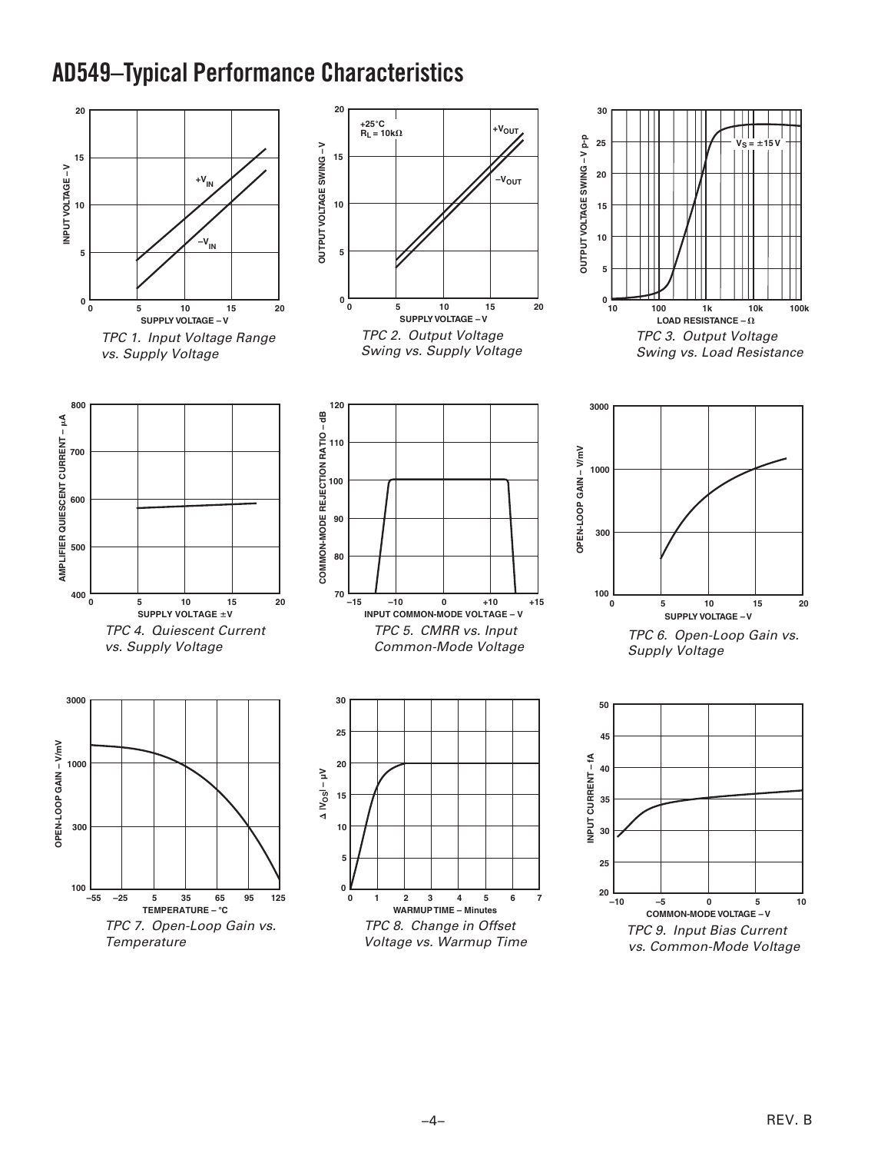## **AD549–Typical Performance Characteristics**

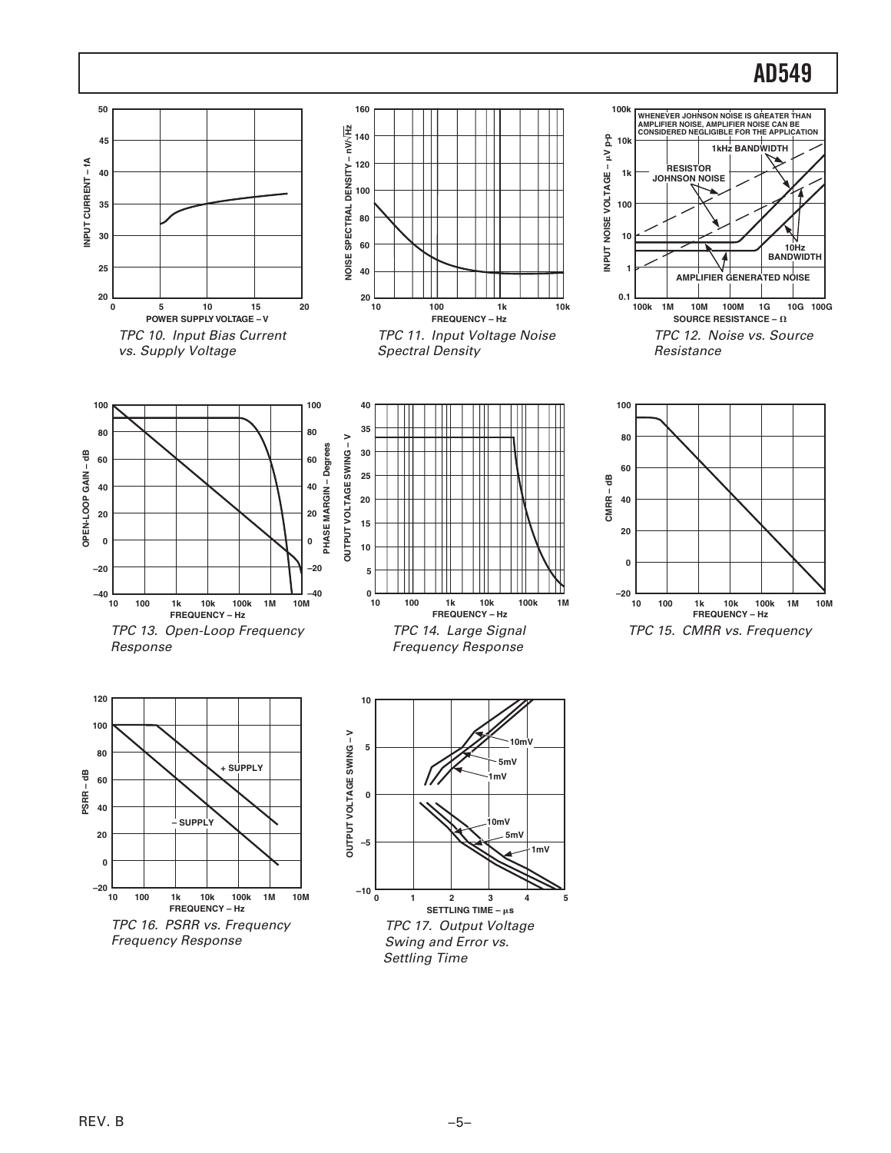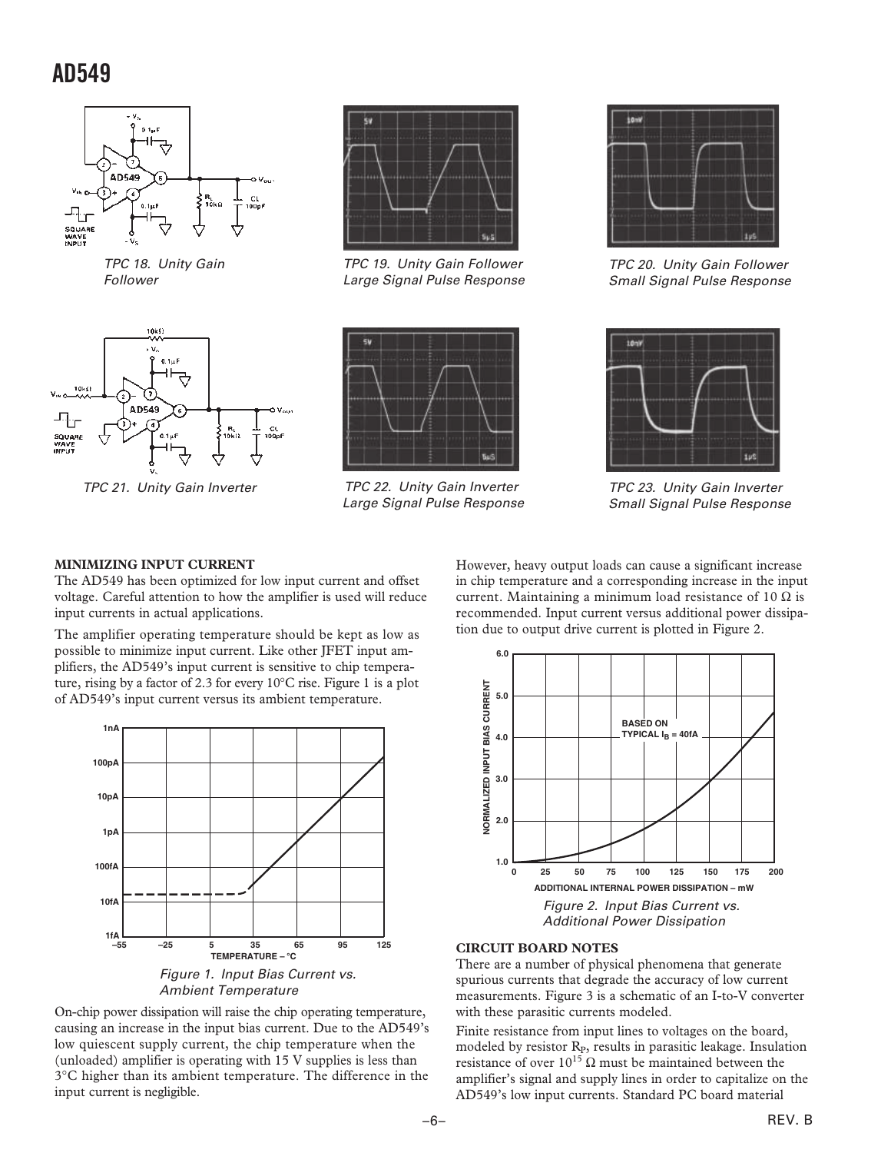

 TPC 18. Unity Gain Follower



TPC 21. Unity Gain Inverter



 TPC 19. Unity Gain Follower Large Signal Pulse Response



TPC 22. Unity Gain Inverter Large Signal Pulse Response



 TPC 20. Unity Gain Follower Small Signal Pulse Response



 TPC 23. Unity Gain Inverter Small Signal Pulse Response

#### **MINIMIZING INPUT CURRENT**

The AD549 has been optimized for low input current and offset voltage. Careful attention to how the amplifier is used will reduce input currents in actual applications.

The amplifier operating temperature should be kept as low as possible to minimize input current. Like other JFET input amplifiers, the AD549's input current is sensitive to chip temperature, rising by a factor of 2.3 for every 10°C rise. Figure 1 is a plot of AD549's input current versus its ambient temperature.



On-chip power dissipation will raise the chip operating temperature, causing an increase in the input bias current. Due to the AD549's low quiescent supply current, the chip temperature when the (unloaded) amplifier is operating with 15 V supplies is less than 3°C higher than its ambient temperature. The difference in the input current is negligible.

However, heavy output loads can cause a significant increase in chip temperature and a corresponding increase in the input current. Maintaining a minimum load resistance of 10  $\Omega$  is recommended. Input current versus additional power dissipation due to output drive current is plotted in Figure 2.



#### **CIRCUIT BOARD NOTES**

There are a number of physical phenomena that generate spurious currents that degrade the accuracy of low current measurements. Figure 3 is a schematic of an I-to-V converter with these parasitic currents modeled.

Finite resistance from input lines to voltages on the board, modeled by resistor R<sub>P</sub>, results in parasitic leakage. Insulation resistance of over  $10^{15}$  Ω must be maintained between the amplifier's signal and supply lines in order to capitalize on the AD549's low input currents. Standard PC board material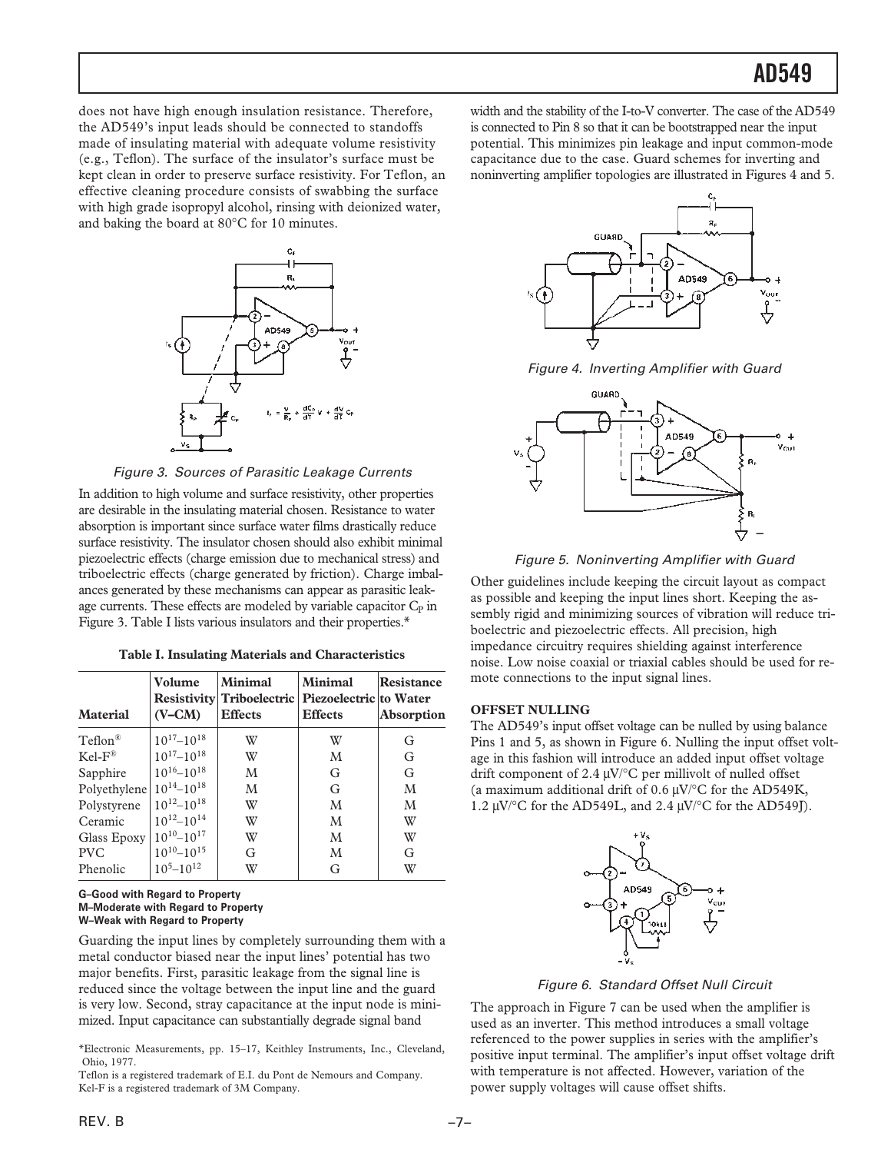does not have high enough insulation resistance. Therefore, the AD549's input leads should be connected to standoffs made of insulating material with adequate volume resistivity (e.g., Teflon). The surface of the insulator's surface must be kept clean in order to preserve surface resistivity. For Teflon, an effective cleaning procedure consists of swabbing the surface with high grade isopropyl alcohol, rinsing with deionized water, and baking the board at 80°C for 10 minutes.



Figure 3. Sources of Parasitic Leakage Currents

In addition to high volume and surface resistivity, other properties are desirable in the insulating material chosen. Resistance to water absorption is important since surface water films drastically reduce surface resistivity. The insulator chosen should also exhibit minimal piezoelectric effects (charge emission due to mechanical stress) and triboelectric effects (charge generated by friction). Charge imbalances generated by these mechanisms can appear as parasitic leakage currents. These effects are modeled by variable capacitor  $C_P$  in Figure 3. Table I lists various insulators and their properties.\*

| <b>Material</b>                    | Volume<br>$(V-CM)$  | <b>Minimal</b><br>Resistivity Triboelectric Piezoelectric to Water<br><b>Effects</b> | <b>Minimal</b><br><b>Effects</b> | Resistance<br>Absorption |
|------------------------------------|---------------------|--------------------------------------------------------------------------------------|----------------------------------|--------------------------|
| $Teflon^{\mathcal{R}}$             | $10^{17} - 10^{18}$ | W                                                                                    | W                                | G                        |
| $KeI-F^{\otimes}$                  | $10^{17} - 10^{18}$ | W                                                                                    | M                                | G                        |
| Sapphire                           | $10^{16} - 10^{18}$ | M                                                                                    | G                                | G                        |
| Polyethylene $10^{14}$ – $10^{18}$ |                     | M                                                                                    | G                                | M                        |
| Polystyrene                        | $10^{12} - 10^{18}$ | W                                                                                    | M                                | M                        |
| Ceramic                            | $10^{12} - 10^{14}$ | W                                                                                    | M                                | W                        |
| Glass Epoxy                        | $10^{10} - 10^{17}$ | W                                                                                    | M                                | W                        |
| <b>PVC</b>                         | $10^{10} - 10^{15}$ | G                                                                                    | M                                | G                        |
| Phenolic                           | $10^5 - 10^{12}$    | W                                                                                    | G                                | W                        |

#### **G–Good with Regard to Property M–Moderate with Regard to Property W–Weak with Regard to Property**

Guarding the input lines by completely surrounding them with a metal conductor biased near the input lines' potential has two major benefits. First, parasitic leakage from the signal line is reduced since the voltage between the input line and the guard is very low. Second, stray capacitance at the input node is minimized. Input capacitance can substantially degrade signal band

\*Electronic Measurements, pp. 15–17, Keithley Instruments, Inc., Cleveland, Ohio, 1977.

Teflon is a registered trademark of E.I. du Pont de Nemours and Company. Kel-F is a registered trademark of 3M Company.

width and the stability of the I-to-V converter. The case of the AD549 is connected to Pin 8 so that it can be bootstrapped near the input potential. This minimizes pin leakage and input common-mode capacitance due to the case. Guard schemes for inverting and noninverting amplifier topologies are illustrated in Figures 4 and 5.



Figure 4. Inverting Amplifier with Guard



Figure 5. Noninverting Amplifier with Guard

Other guidelines include keeping the circuit layout as compact as possible and keeping the input lines short. Keeping the assembly rigid and minimizing sources of vibration will reduce triboelectric and piezoelectric effects. All precision, high impedance circuitry requires shielding against interference noise. Low noise coaxial or triaxial cables should be used for remote connections to the input signal lines.

#### **OFFSET NULLING**

The AD549's input offset voltage can be nulled by using balance Pins 1 and 5, as shown in Figure 6. Nulling the input offset voltage in this fashion will introduce an added input offset voltage drift component of 2.4 µV/°C per millivolt of nulled offset (a maximum additional drift of 0.6  $\mu$ V/°C for the AD549K, 1.2  $\mu$ V/°C for the AD549L, and 2.4  $\mu$ V/°C for the AD549J).



Figure 6. Standard Offset Null Circuit

The approach in Figure 7 can be used when the amplifier is used as an inverter. This method introduces a small voltage referenced to the power supplies in series with the amplifier's positive input terminal. The amplifier's input offset voltage drift with temperature is not affected. However, variation of the power supply voltages will cause offset shifts.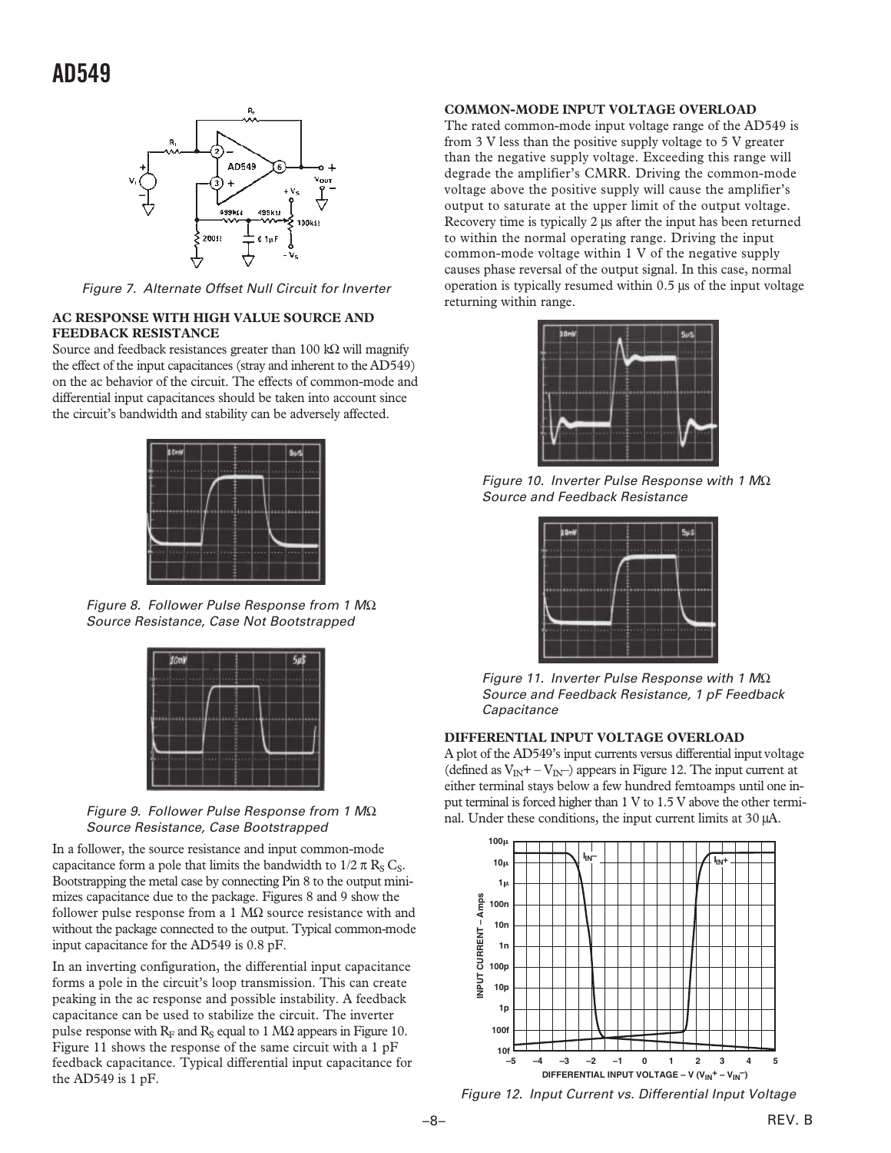

Figure 7. Alternate Offset Null Circuit for Inverter

#### **AC RESPONSE WITH HIGH VALUE SOURCE AND FEEDBACK RESISTANCE**

Source and feedback resistances greater than 100 kΩ will magnify the effect of the input capacitances (stray and inherent to the AD549) on the ac behavior of the circuit. The effects of common-mode and differential input capacitances should be taken into account since the circuit's bandwidth and stability can be adversely affected.



Figure 8. Follower Pulse Response from 1  $M\Omega$ Source Resistance, Case Not Bootstrapped



Figure 9. Follower Pulse Response from 1  $M\Omega$ Source Resistance, Case Bootstrapped

In a follower, the source resistance and input common-mode capacitance form a pole that limits the bandwidth to  $1/2 \pi R_S C_S$ . Bootstrapping the metal case by connecting Pin 8 to the output minimizes capacitance due to the package. Figures 8 and 9 show the follower pulse response from a 1  $M\Omega$  source resistance with and without the package connected to the output. Typical common-mode input capacitance for the AD549 is 0.8 pF.

In an inverting configuration, the differential input capacitance forms a pole in the circuit's loop transmission. This can create peaking in the ac response and possible instability. A feedback capacitance can be used to stabilize the circuit. The inverter pulse response with  $R_F$  and  $R_S$  equal to 1 M $\Omega$  appears in Figure 10. Figure 11 shows the response of the same circuit with a 1 pF feedback capacitance. Typical differential input capacitance for the AD549 is 1 pF.

#### **COMMON-MODE INPUT VOLTAGE OVERLOAD**

The rated common-mode input voltage range of the AD549 is from 3 V less than the positive supply voltage to 5 V greater than the negative supply voltage. Exceeding this range will degrade the amplifier's CMRR. Driving the common-mode voltage above the positive supply will cause the amplifier's output to saturate at the upper limit of the output voltage. Recovery time is typically 2 µs after the input has been returned to within the normal operating range. Driving the input common-mode voltage within 1 V of the negative supply causes phase reversal of the output signal. In this case, normal operation is typically resumed within 0.5 µs of the input voltage returning within range.



Figure 10. Inverter Pulse Response with 1  $M\Omega$ Source and Feedback Resistance



 Figure 11. Inverter Pulse Response with 1 MΩ Source and Feedback Resistance, 1 pF Feedback **Capacitance** 

#### **DIFFERENTIAL INPUT VOLTAGE OVERLOAD**

A plot of the AD549's input currents versus differential input voltage (defined as  $V_{\text{IN}} + -V_{\text{IN}}$ ) appears in Figure 12. The input current at either terminal stays below a few hundred femtoamps until one input terminal is forced higher than 1 V to 1.5 V above the other terminal. Under these conditions, the input current limits at 30 µA.



Figure 12. Input Current vs. Differential Input Voltage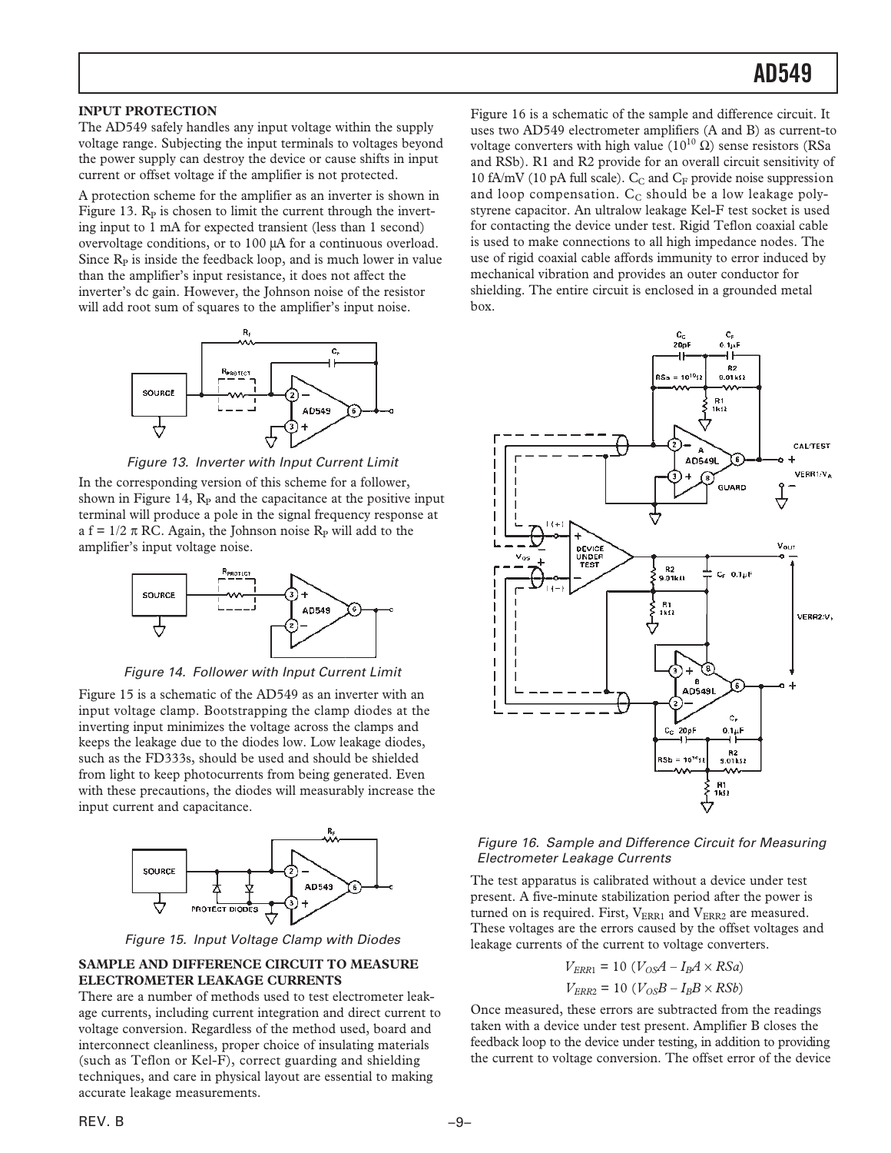#### **INPUT PROTECTION**

The AD549 safely handles any input voltage within the supply voltage range. Subjecting the input terminals to voltages beyond the power supply can destroy the device or cause shifts in input current or offset voltage if the amplifier is not protected.

A protection scheme for the amplifier as an inverter is shown in Figure 13.  $R<sub>P</sub>$  is chosen to limit the current through the inverting input to 1 mA for expected transient (less than 1 second) overvoltage conditions, or to 100 µA for a continuous overload. Since  $R<sub>P</sub>$  is inside the feedback loop, and is much lower in value than the amplifier's input resistance, it does not affect the inverter's dc gain. However, the Johnson noise of the resistor will add root sum of squares to the amplifier's input noise.





In the corresponding version of this scheme for a follower, shown in Figure 14,  $R<sub>P</sub>$  and the capacitance at the positive input terminal will produce a pole in the signal frequency response at a f =  $1/2 \pi$  RC. Again, the Johnson noise R<sub>p</sub> will add to the amplifier's input voltage noise.



Figure 14. Follower with Input Current Limit

Figure 15 is a schematic of the AD549 as an inverter with an input voltage clamp. Bootstrapping the clamp diodes at the inverting input minimizes the voltage across the clamps and keeps the leakage due to the diodes low. Low leakage diodes, such as the FD333s, should be used and should be shielded from light to keep photocurrents from being generated. Even with these precautions, the diodes will measurably increase the input current and capacitance.



Figure 15. Input Voltage Clamp with Diodes

#### **SAMPLE AND DIFFERENCE CIRCUIT TO MEASURE ELECTROMETER LEAKAGE CURRENTS**

There are a number of methods used to test electrometer leakage currents, including current integration and direct current to voltage conversion. Regardless of the method used, board and interconnect cleanliness, proper choice of insulating materials (such as Teflon or Kel-F), correct guarding and shielding techniques, and care in physical layout are essential to making accurate leakage measurements.

Figure 16 is a schematic of the sample and difference circuit. It uses two AD549 electrometer amplifiers (A and B) as current-to voltage converters with high value ( $10^{10}$  Ω) sense resistors (RSa and RSb). R1 and R2 provide for an overall circuit sensitivity of 10 fA/mV (10 pA full scale).  $C_C$  and  $C_F$  provide noise suppression and loop compensation.  $C_C$  should be a low leakage polystyrene capacitor. An ultralow leakage Kel-F test socket is used for contacting the device under test. Rigid Teflon coaxial cable is used to make connections to all high impedance nodes. The use of rigid coaxial cable affords immunity to error induced by mechanical vibration and provides an outer conductor for shielding. The entire circuit is enclosed in a grounded metal box.



#### Figure 16. Sample and Difference Circuit for Measuring Electrometer Leakage Currents

The test apparatus is calibrated without a device under test present. A five-minute stabilization period after the power is turned on is required. First,  $V_{ERR1}$  and  $V_{ERR2}$  are measured. These voltages are the errors caused by the offset voltages and leakage currents of the current to voltage converters.

$$
V_{ERR1} = 10 (V_{OS}A - I_BA \times RSa)
$$
  

$$
V_{ERR2} = 10 (V_{OS}B - I_BB \times RSb)
$$

Once measured, these errors are subtracted from the readings taken with a device under test present. Amplifier B closes the feedback loop to the device under testing, in addition to providing the current to voltage conversion. The offset error of the device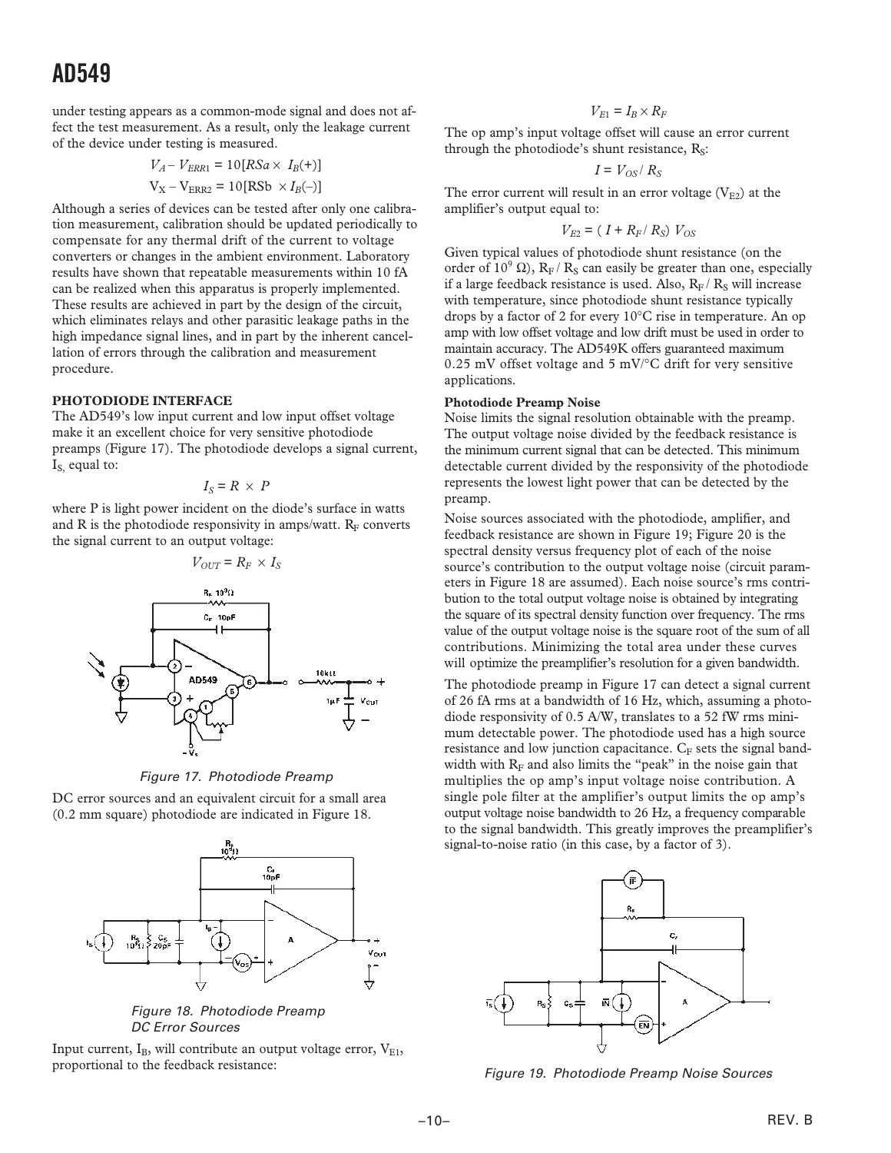under testing appears as a common-mode signal and does not affect the test measurement. As a result, only the leakage current of the device under testing is measured.

$$
V_A - V_{ERR1} = 10[RSa \times I_B(+)]
$$
  

$$
V_X - V_{ERR2} = 10[RSb \times I_B(-)]
$$

Although a series of devices can be tested after only one calibration measurement, calibration should be updated periodically to compensate for any thermal drift of the current to voltage converters or changes in the ambient environment. Laboratory results have shown that repeatable measurements within 10 fA can be realized when this apparatus is properly implemented. These results are achieved in part by the design of the circuit, which eliminates relays and other parasitic leakage paths in the high impedance signal lines, and in part by the inherent cancellation of errors through the calibration and measurement procedure.

#### **PHOTODIODE INTERFACE**

The AD549's low input current and low input offset voltage make it an excellent choice for very sensitive photodiode preamps (Figure 17). The photodiode develops a signal current,  $I<sub>S</sub>$  equal to:

$$
I_S = R \times P
$$

where P is light power incident on the diode's surface in watts and R is the photodiode responsivity in amps/watt.  $R_F$  converts the signal current to an output voltage:

$$
V_{OUT} = R_F \times I_S
$$
\n
$$
V_{OUT} = R_F \times I_S
$$
\n
$$
V_{OFF}
$$
\n
$$
V_{OFF}
$$
\n
$$
V_{OFF}
$$
\n
$$
V_{DEF}
$$
\n
$$
V_{DEF}
$$
\n
$$
V_{DEF}
$$
\n
$$
V_{DEF}
$$
\n
$$
V_{DEF}
$$
\n
$$
V_{DEF}
$$
\n
$$
V_{DEF}
$$
\n
$$
V_{DEF}
$$
\n
$$
V_{DEF}
$$
\n
$$
V_{DEF}
$$
\n
$$
V_{DEF}
$$
\n
$$
V_{DEF}
$$
\n
$$
V_{DEF}
$$
\n
$$
V_{DEF}
$$

Figure 17. Photodiode Preamp

DC error sources and an equivalent circuit for a small area (0.2 mm square) photodiode are indicated in Figure 18.



Figure 18. Photodiode Preamp DC Error Sources

Input current,  $I_B$ , will contribute an output voltage error,  $V_{E1}$ , proportional to the feedback resistance:

### $V_{E1} = I_B \times R_F$

The op amp's input voltage offset will cause an error current through the photodiode's shunt resistance,  $R<sub>S</sub>$ :

$$
I = V_{OS} / R_S
$$

The error current will result in an error voltage  $(V_{E2})$  at the amplifier's output equal to:

$$
V_{E2} = (I + R_F/R_S) V_{OS}
$$

Given typical values of photodiode shunt resistance (on the order of  $10^9 \Omega$ ), R<sub>F</sub>/R<sub>S</sub> can easily be greater than one, especially if a large feedback resistance is used. Also,  $R_F/R_S$  will increase with temperature, since photodiode shunt resistance typically drops by a factor of 2 for every 10°C rise in temperature. An op amp with low offset voltage and low drift must be used in order to maintain accuracy. The AD549K offers guaranteed maximum 0.25 mV offset voltage and 5 mV/ $\degree$ C drift for very sensitive applications.

#### **Photodiode Preamp Noise**

Noise limits the signal resolution obtainable with the preamp. The output voltage noise divided by the feedback resistance is the minimum current signal that can be detected. This minimum detectable current divided by the responsivity of the photodiode represents the lowest light power that can be detected by the preamp.

Noise sources associated with the photodiode, amplifier, and feedback resistance are shown in Figure 19; Figure 20 is the spectral density versus frequency plot of each of the noise source's contribution to the output voltage noise (circuit parameters in Figure 18 are assumed). Each noise source's rms contribution to the total output voltage noise is obtained by integrating the square of its spectral density function over frequency. The rms value of the output voltage noise is the square root of the sum of all contributions. Minimizing the total area under these curves will optimize the preamplifier's resolution for a given bandwidth.

The photodiode preamp in Figure 17 can detect a signal current of 26 fA rms at a bandwidth of 16 Hz, which, assuming a photodiode responsivity of 0.5 A/W, translates to a 52 fW rms minimum detectable power. The photodiode used has a high source resistance and low junction capacitance.  $C_F$  sets the signal bandwidth with  $R_F$  and also limits the "peak" in the noise gain that multiplies the op amp's input voltage noise contribution. A single pole filter at the amplifier's output limits the op amp's output voltage noise bandwidth to 26 Hz, a frequency comparable to the signal bandwidth. This greatly improves the preamplifier's signal-to-noise ratio (in this case, by a factor of 3).



Figure 19. Photodiode Preamp Noise Sources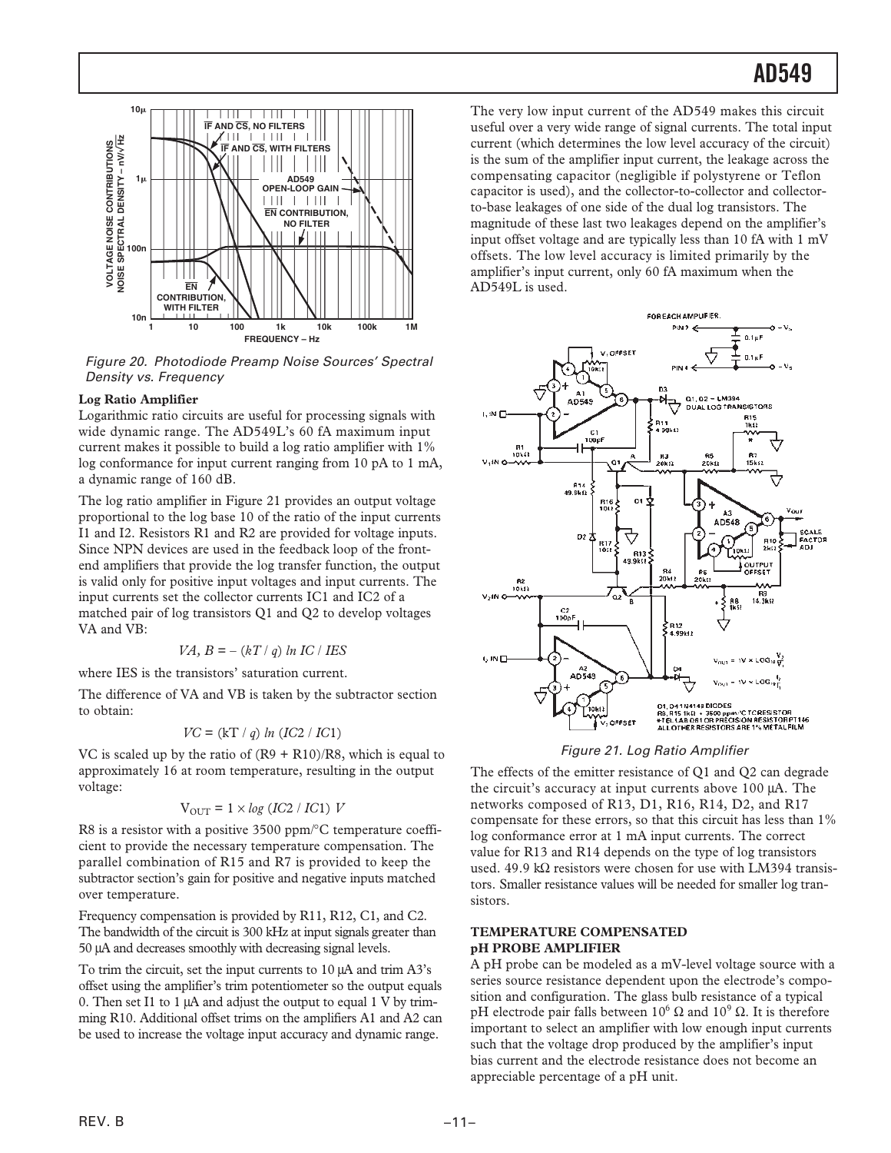

Figure 20. Photodiode Preamp Noise Sources' Spectral Density vs. Frequency

#### **Log Ratio Amplifier**

Logarithmic ratio circuits are useful for processing signals with wide dynamic range. The AD549L's 60 fA maximum input current makes it possible to build a log ratio amplifier with 1% log conformance for input current ranging from 10 pA to 1 mA, a dynamic range of 160 dB.

The log ratio amplifier in Figure 21 provides an output voltage proportional to the log base 10 of the ratio of the input currents I1 and I2. Resistors R1 and R2 are provided for voltage inputs. Since NPN devices are used in the feedback loop of the frontend amplifiers that provide the log transfer function, the output is valid only for positive input voltages and input currents. The input currents set the collector currents IC1 and IC2 of a matched pair of log transistors Q1 and Q2 to develop voltages VA and VB:

$$
VA, B = -(kT / q) ln IC / IES
$$

where IES is the transistors' saturation current.

The difference of VA and VB is taken by the subtractor section to obtain:

$$
VC = (kT / q) ln (IC2 / IC1)
$$

VC is scaled up by the ratio of  $(R9 + R10)/R8$ , which is equal to approximately 16 at room temperature, resulting in the output voltage:

$$
\mathrm{V_{OUT}} = 1 \times log~(IC2~/~IC1)~V
$$

R8 is a resistor with a positive 3500 ppm/ $\rm ^{\circ}C$  temperature coefficient to provide the necessary temperature compensation. The parallel combination of R15 and R7 is provided to keep the subtractor section's gain for positive and negative inputs matched over temperature.

Frequency compensation is provided by R11, R12, C1, and C2. The bandwidth of the circuit is 300 kHz at input signals greater than 50 µA and decreases smoothly with decreasing signal levels.

To trim the circuit, set the input currents to 10 µA and trim A3's offset using the amplifier's trim potentiometer so the output equals 0. Then set I1 to 1 µA and adjust the output to equal 1 V by trimming R10. Additional offset trims on the amplifiers A1 and A2 can be used to increase the voltage input accuracy and dynamic range.

The very low input current of the AD549 makes this circuit useful over a very wide range of signal currents. The total input current (which determines the low level accuracy of the circuit) is the sum of the amplifier input current, the leakage across the compensating capacitor (negligible if polystyrene or Teflon capacitor is used), and the collector-to-collector and collectorto-base leakages of one side of the dual log transistors. The magnitude of these last two leakages depend on the amplifier's input offset voltage and are typically less than 10 fA with 1 mV offsets. The low level accuracy is limited primarily by the amplifier's input current, only 60 fA maximum when the AD549L is used.



#### Figure 21. Log Ratio Amplifier

The effects of the emitter resistance of Q1 and Q2 can degrade the circuit's accuracy at input currents above 100 µA. The networks composed of R13, D1, R16, R14, D2, and R17 compensate for these errors, so that this circuit has less than 1% log conformance error at 1 mA input currents. The correct value for R13 and R14 depends on the type of log transistors used. 49.9 k $\Omega$  resistors were chosen for use with LM394 transistors. Smaller resistance values will be needed for smaller log transistors.

#### **TEMPERATURE COMPENSATED pH PROBE AMPLIFIER**

A pH probe can be modeled as a mV-level voltage source with a series source resistance dependent upon the electrode's composition and configuration. The glass bulb resistance of a typical pH electrode pair falls between  $10^6$  Ω and  $10^9$  Ω. It is therefore important to select an amplifier with low enough input currents such that the voltage drop produced by the amplifier's input bias current and the electrode resistance does not become an appreciable percentage of a pH unit.